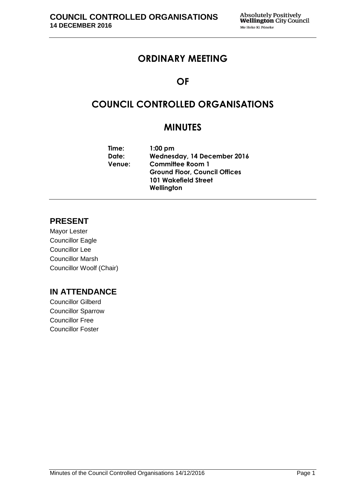# **ORDINARY MEETING**

# **OF**

# **COUNCIL CONTROLLED ORGANISATIONS**

# **MINUTES**

| Time:         | $1:00$ pm                            |
|---------------|--------------------------------------|
| Date:         | Wednesday, 14 December 2016          |
| <b>Venue:</b> | <b>Committee Room 1</b>              |
|               | <b>Ground Floor, Council Offices</b> |
|               | <b>101 Wakefield Street</b>          |
|               | Wellington                           |

## **PRESENT**

Mayor Lester Councillor Eagle Councillor Lee Councillor Marsh Councillor Woolf (Chair)

## **IN ATTENDANCE**

Councillor Gilberd Councillor Sparrow Councillor Free Councillor Foster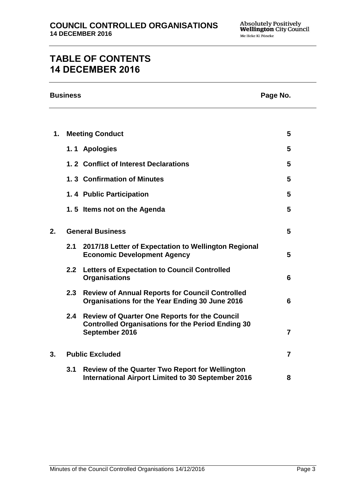# **TABLE OF CONTENTS 14 DECEMBER 2016**

|    | <b>Business</b> | Page No.                                                                                                                           |                |
|----|-----------------|------------------------------------------------------------------------------------------------------------------------------------|----------------|
|    |                 |                                                                                                                                    |                |
| 1. |                 | <b>Meeting Conduct</b>                                                                                                             | 5              |
|    |                 | 1.1 Apologies                                                                                                                      | 5              |
|    |                 | 1.2 Conflict of Interest Declarations                                                                                              | 5              |
|    |                 | 1.3 Confirmation of Minutes                                                                                                        | 5              |
|    |                 | 1.4 Public Participation                                                                                                           | 5              |
|    |                 | 1.5 Items not on the Agenda                                                                                                        | 5              |
| 2. |                 | <b>General Business</b>                                                                                                            | 5              |
|    | 2.1             | 2017/18 Letter of Expectation to Wellington Regional<br><b>Economic Development Agency</b>                                         | 5              |
|    |                 | 2.2 Letters of Expectation to Council Controlled<br><b>Organisations</b>                                                           | 6              |
|    |                 | 2.3 Review of Annual Reports for Council Controlled<br>Organisations for the Year Ending 30 June 2016                              | 6              |
|    | 2.4             | <b>Review of Quarter One Reports for the Council</b><br><b>Controlled Organisations for the Period Ending 30</b><br>September 2016 | $\overline{7}$ |
| 3. |                 | <b>Public Excluded</b>                                                                                                             | $\overline{7}$ |
|    | 3.1             | <b>Review of the Quarter Two Report for Wellington</b><br>International Airport Limited to 30 September 2016                       | 8              |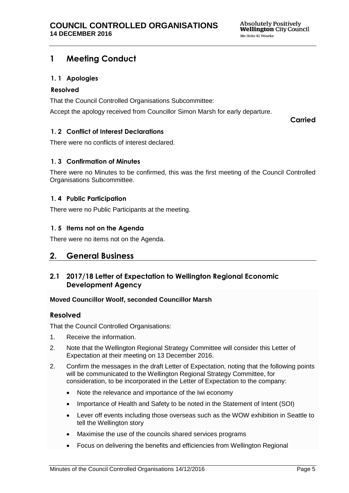## <span id="page-4-0"></span>**1 Meeting Conduct**

## <span id="page-4-1"></span>**1. 1 Apologies**

#### **Resolved**

That the Council Controlled Organisations Subcommittee:

Accept the apology received from Councillor Simon Marsh for early departure.

**Carried**

## <span id="page-4-2"></span>**1. 2 Conflict of Interest Declarations**

There were no conflicts of interest declared.

#### <span id="page-4-3"></span>**1. 3 Confirmation of Minutes**

There were no Minutes to be confirmed, this was the first meeting of the Council Controlled Organisations Subcommittee.

#### <span id="page-4-5"></span>**1. 4 Public Participation**

There were no Public Participants at the meeting.

## <span id="page-4-4"></span>**1. 5 Items not on the Agenda**

There were no items not on the Agenda.

## <span id="page-4-6"></span>**2. General Business**

## <span id="page-4-7"></span>**2.1 2017/18 Letter of Expectation to Wellington Regional Economic Development Agency**

#### **Moved Councillor Woolf, seconded Councillor Marsh**

## **Resolved**

That the Council Controlled Organisations:

- 1. Receive the information.
- 2. Note that the Wellington Regional Strategy Committee will consider this Letter of Expectation at their meeting on 13 December 2016.
- 2. Confirm the messages in the draft Letter of Expectation, noting that the following points will be communicated to the Wellington Regional Strategy Committee, for consideration, to be incorporated in the Letter of Expectation to the company:
	- Note the relevance and importance of the Iwi economy
	- Importance of Health and Safety to be noted in the Statement of Intent (SOI)
	- Lever off events including those overseas such as the WOW exhibition in Seattle to tell the Wellington story
	- Maximise the use of the councils shared services programs
	- Focus on delivering the benefits and efficiencies from Wellington Regional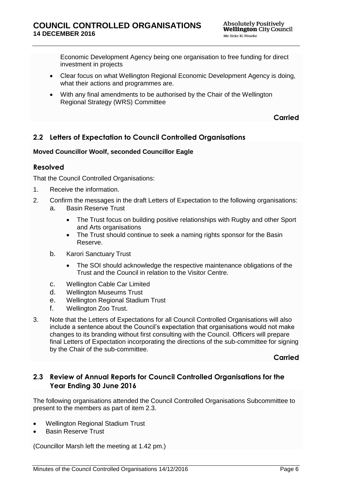Economic Development Agency being one organisation to free funding for direct investment in projects

- Clear focus on what Wellington Regional Economic Development Agency is doing, what their actions and programmes are.
- With any final amendments to be authorised by the Chair of the Wellington Regional Strategy (WRS) Committee

**Carried**

## <span id="page-5-0"></span>**2.2 Letters of Expectation to Council Controlled Organisations**

#### **Moved Councillor Woolf, seconded Councillor Eagle**

#### **Resolved**

That the Council Controlled Organisations:

- 1. Receive the information.
- 2. Confirm the messages in the draft Letters of Expectation to the following organisations:
	- a. Basin Reserve Trust
		- The Trust focus on building positive relationships with Rugby and other Sport and Arts organisations
		- The Trust should continue to seek a naming rights sponsor for the Basin Reserve.
	- b. Karori Sanctuary Trust
		- The SOI should acknowledge the respective maintenance obligations of the Trust and the Council in relation to the Visitor Centre.
	- c. Wellington Cable Car Limited
	- d. Wellington Museums Trust
	- e. Wellington Regional Stadium Trust
	- f. Wellington Zoo Trust.
- 3. Note that the Letters of Expectations for all Council Controlled Organisations will also include a sentence about the Council's expectation that organisations would not make changes to its branding without first consulting with the Council. Officers will prepare final Letters of Expectation incorporating the directions of the sub-committee for signing by the Chair of the sub-committee.

**Carried**

## <span id="page-5-1"></span>**2.3 Review of Annual Reports for Council Controlled Organisations for the Year Ending 30 June 2016**

The following organisations attended the Council Controlled Organisations Subcommittee to present to the members as part of item 2.3.

- Wellington Regional Stadium Trust
- Basin Reserve Trust

(Councillor Marsh left the meeting at 1.42 pm.)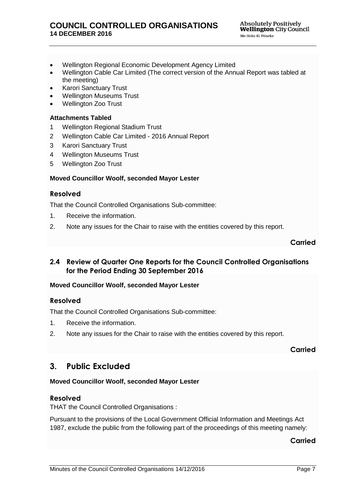- Wellington Regional Economic Development Agency Limited
- Wellington Cable Car Limited (The correct version of the Annual Report was tabled at the meeting)
- Karori Sanctuary Trust
- Wellington Museums Trust
- Wellington Zoo Trust

#### **Attachments Tabled**

- 1 Wellington Regional Stadium Trust
- 2 Wellington Cable Car Limited 2016 Annual Report
- 3 Karori Sanctuary Trust
- 4 Wellington Museums Trust
- 5 Wellington Zoo Trust

#### **Moved Councillor Woolf, seconded Mayor Lester**

#### **Resolved**

That the Council Controlled Organisations Sub-committee:

- 1. Receive the information.
- 2. Note any issues for the Chair to raise with the entities covered by this report.

## **Carried**

## <span id="page-6-0"></span>**2.4 Review of Quarter One Reports for the Council Controlled Organisations for the Period Ending 30 September 2016**

#### **Moved Councillor Woolf, seconded Mayor Lester**

#### **Resolved**

That the Council Controlled Organisations Sub-committee:

- 1. Receive the information.
- 2. Note any issues for the Chair to raise with the entities covered by this report.

#### **Carried**

## <span id="page-6-1"></span>**3. Public Excluded**

#### **Moved Councillor Woolf, seconded Mayor Lester**

#### **Resolved**

THAT the Council Controlled Organisations :

Pursuant to the provisions of the Local Government Official Information and Meetings Act 1987, exclude the public from the following part of the proceedings of this meeting namely:

## **Carried**